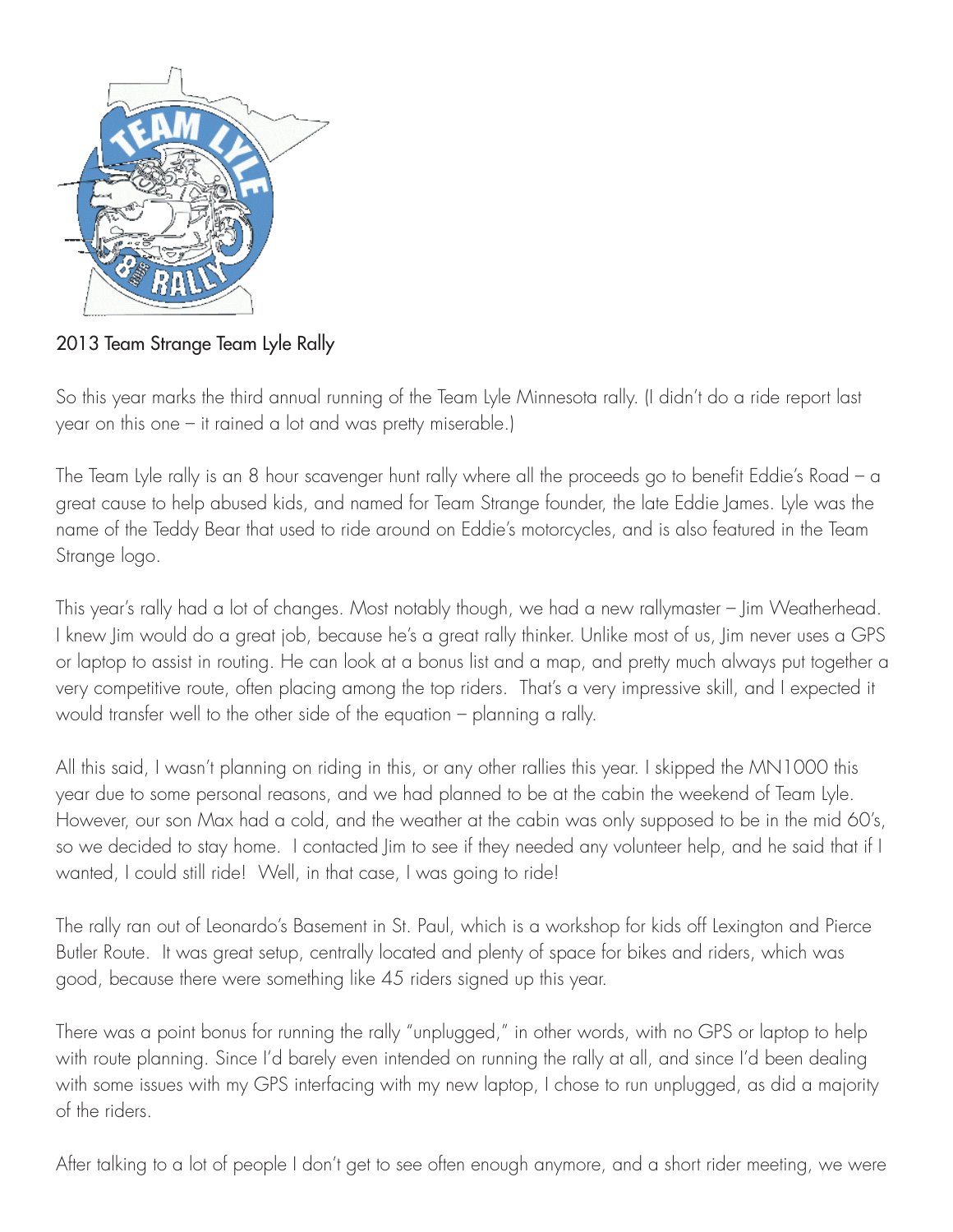

2013 Team Strange Team Lyle Rally

So this year marks the third annual running of the Team Lyle Minnesota rally. (I didn't do a ride report last year on this one – it rained a lot and was pretty miserable.)

The Team Lyle rally is an 8 hour scavenger hunt rally where all the proceeds go to benefit Eddie's Road – a great cause to help abused kids, and named for Team Strange founder, the late Eddie James. Lyle was the name of the Teddy Bear that used to ride around on Eddie's motorcycles, and is also featured in the Team Strange logo.

This year's rally had a lot of changes. Most notably though, we had a new rallymaster – Jim Weatherhead. I knew Jim would do a great job, because he's a great rally thinker. Unlike most of us, Jim never uses a GPS or laptop to assist in routing. He can look at a bonus list and a map, and pretty much always put together a very competitive route, often placing among the top riders. That's a very impressive skill, and I expected it would transfer well to the other side of the equation – planning a rally.

All this said, I wasn't planning on riding in this, or any other rallies this year. I skipped the MN1000 this year due to some personal reasons, and we had planned to be at the cabin the weekend of Team Lyle. However, our son Max had a cold, and the weather at the cabin was only supposed to be in the mid 60's, so we decided to stay home. I contacted Jim to see if they needed any volunteer help, and he said that if I wanted, I could still ride! Well, in that case, I was going to ride!

The rally ran out of Leonardo's Basement in St. Paul, which is a workshop for kids off Lexington and Pierce Butler Route. It was great setup, centrally located and plenty of space for bikes and riders, which was good, because there were something like 45 riders signed up this year.

There was a point bonus for running the rally "unplugged," in other words, with no GPS or laptop to help with route planning. Since I'd barely even intended on running the rally at all, and since I'd been dealing with some issues with my GPS interfacing with my new laptop, I chose to run unplugged, as did a majority of the riders.

After talking to a lot of people I don't get to see often enough anymore, and a short rider meeting, we were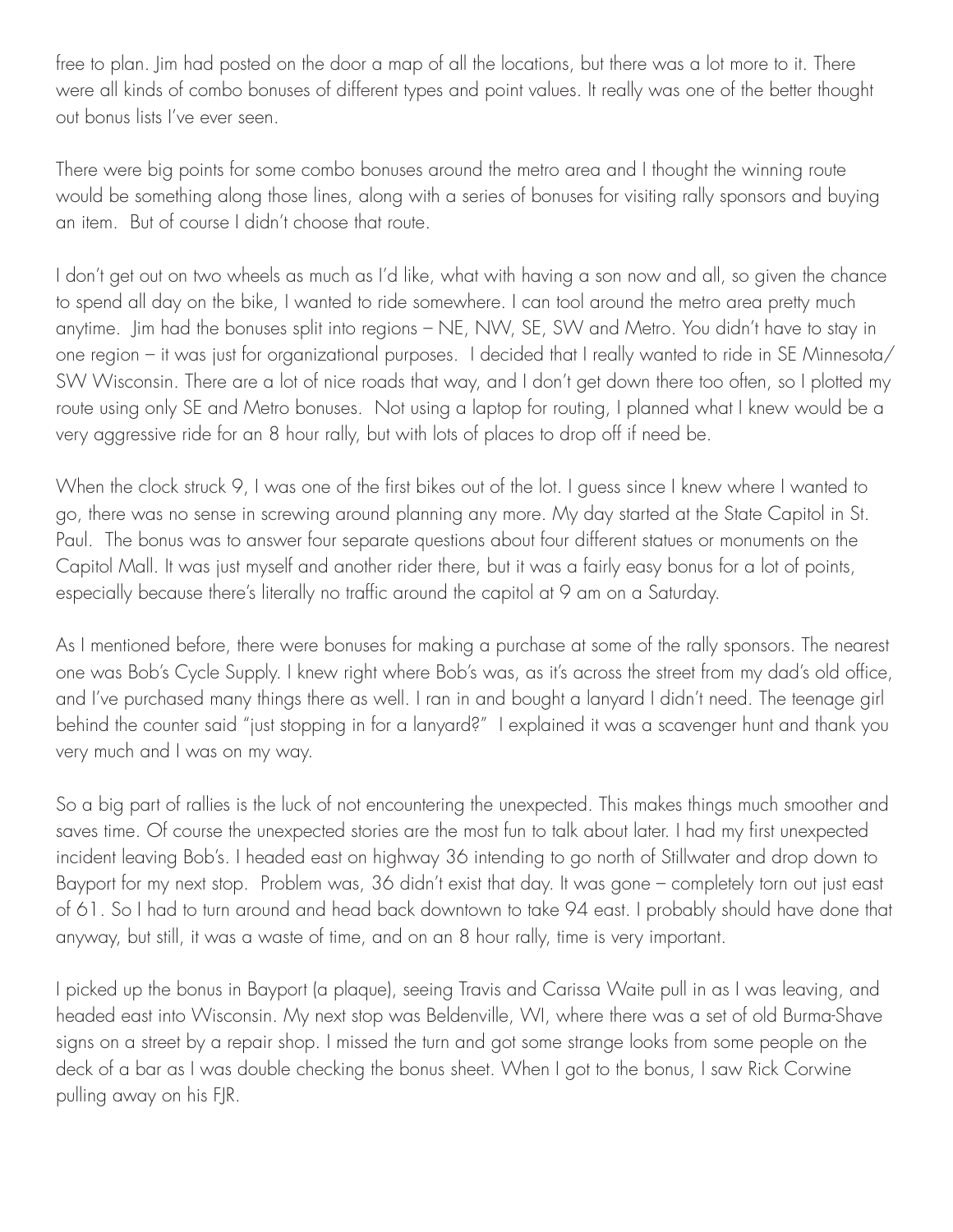free to plan. Jim had posted on the door a map of all the locations, but there was a lot more to it. There were all kinds of combo bonuses of different types and point values. It really was one of the better thought out bonus lists I've ever seen.

There were big points for some combo bonuses around the metro area and I thought the winning route would be something along those lines, along with a series of bonuses for visiting rally sponsors and buying an item. But of course I didn't choose that route.

I don't get out on two wheels as much as I'd like, what with having a son now and all, so given the chance to spend all day on the bike, I wanted to ride somewhere. I can tool around the metro area pretty much anytime. Jim had the bonuses split into regions – NE, NW, SE, SW and Metro. You didn't have to stay in one region – it was just for organizational purposes. I decided that I really wanted to ride in SE Minnesota/ SW Wisconsin. There are a lot of nice roads that way, and I don't get down there too often, so I plotted my route using only SE and Metro bonuses. Not using a laptop for routing, I planned what I knew would be a very aggressive ride for an 8 hour rally, but with lots of places to drop off if need be.

When the clock struck 9, I was one of the first bikes out of the lot. I guess since I knew where I wanted to go, there was no sense in screwing around planning any more. My day started at the State Capitol in St. Paul. The bonus was to answer four separate questions about four different statues or monuments on the Capitol Mall. It was just myself and another rider there, but it was a fairly easy bonus for a lot of points, especially because there's literally no traffic around the capitol at 9 am on a Saturday.

As I mentioned before, there were bonuses for making a purchase at some of the rally sponsors. The nearest one was Bob's Cycle Supply. I knew right where Bob's was, as it's across the street from my dad's old office, and I've purchased many things there as well. I ran in and bought a lanyard I didn't need. The teenage girl behind the counter said "just stopping in for a lanyard?" I explained it was a scavenger hunt and thank you very much and I was on my way.

So a big part of rallies is the luck of not encountering the unexpected. This makes things much smoother and saves time. Of course the unexpected stories are the most fun to talk about later. I had my first unexpected incident leaving Bob's. I headed east on highway 36 intending to go north of Stillwater and drop down to Bayport for my next stop. Problem was, 36 didn't exist that day. It was gone – completely torn out just east of 61. So I had to turn around and head back downtown to take 94 east. I probably should have done that anyway, but still, it was a waste of time, and on an 8 hour rally, time is very important.

I picked up the bonus in Bayport (a plaque), seeing Travis and Carissa Waite pull in as I was leaving, and headed east into Wisconsin. My next stop was Beldenville, WI, where there was a set of old Burma-Shave signs on a street by a repair shop. I missed the turn and got some strange looks from some people on the deck of a bar as I was double checking the bonus sheet. When I got to the bonus, I saw Rick Corwine pulling away on his FJR.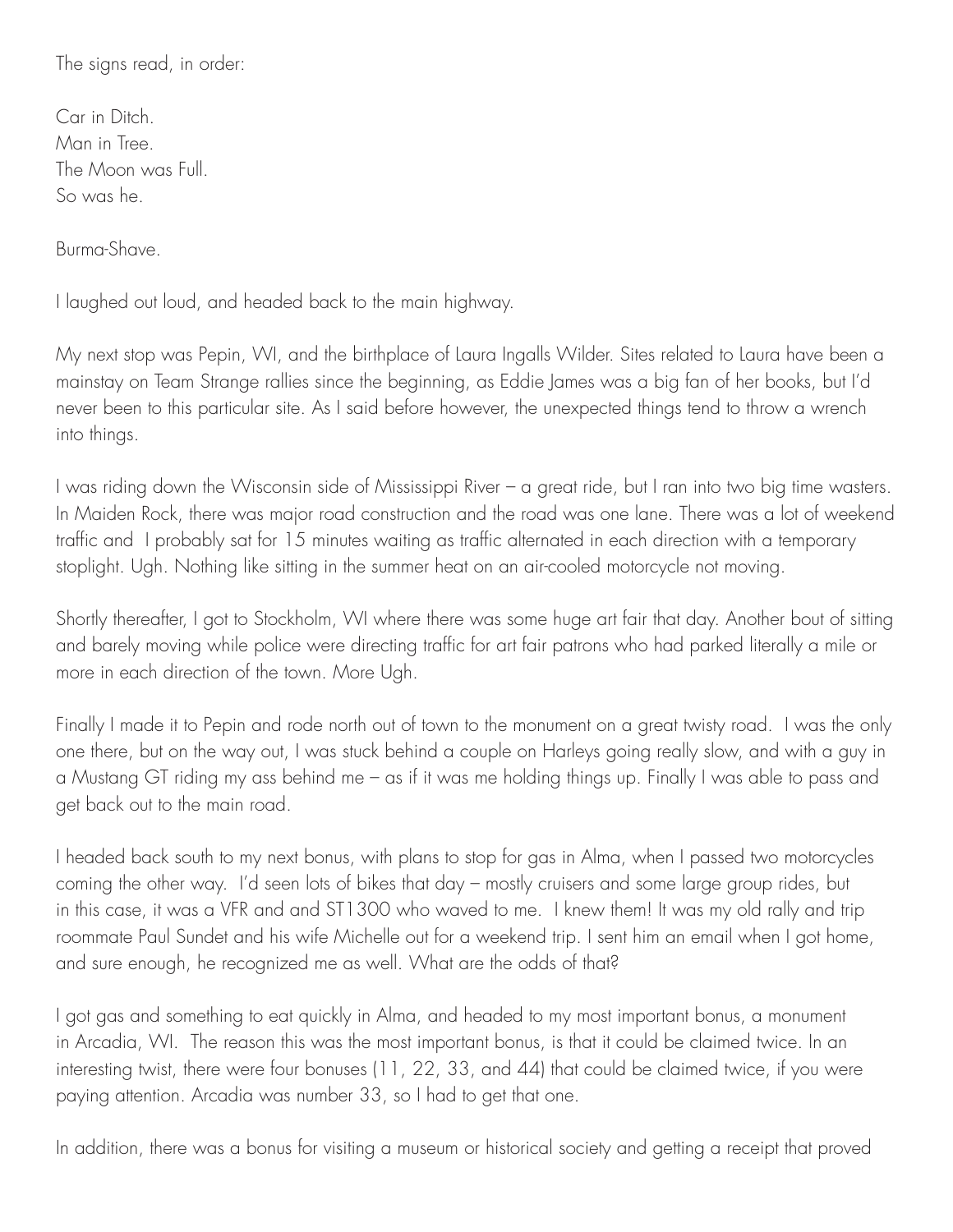The signs read, in order:

Car in Ditch. Man in Tree. The Moon was Full. So was he.

Burma-Shave.

I laughed out loud, and headed back to the main highway.

My next stop was Pepin, WI, and the birthplace of Laura Ingalls Wilder. Sites related to Laura have been a mainstay on Team Strange rallies since the beginning, as Eddie James was a big fan of her books, but I'd never been to this particular site. As I said before however, the unexpected things tend to throw a wrench into things.

I was riding down the Wisconsin side of Mississippi River – a great ride, but I ran into two big time wasters. In Maiden Rock, there was major road construction and the road was one lane. There was a lot of weekend traffic and I probably sat for 15 minutes waiting as traffic alternated in each direction with a temporary stoplight. Ugh. Nothing like sitting in the summer heat on an air-cooled motorcycle not moving.

Shortly thereafter, I got to Stockholm, WI where there was some huge art fair that day. Another bout of sitting and barely moving while police were directing traffic for art fair patrons who had parked literally a mile or more in each direction of the town. More Ugh.

Finally I made it to Pepin and rode north out of town to the monument on a great twisty road. I was the only one there, but on the way out, I was stuck behind a couple on Harleys going really slow, and with a guy in a Mustang GT riding my ass behind me – as if it was me holding things up. Finally I was able to pass and get back out to the main road.

I headed back south to my next bonus, with plans to stop for gas in Alma, when I passed two motorcycles coming the other way. I'd seen lots of bikes that day – mostly cruisers and some large group rides, but in this case, it was a VFR and and ST1300 who waved to me. I knew them! It was my old rally and trip roommate Paul Sundet and his wife Michelle out for a weekend trip. I sent him an email when I got home, and sure enough, he recognized me as well. What are the odds of that?

I got gas and something to eat quickly in Alma, and headed to my most important bonus, a monument in Arcadia, WI. The reason this was the most important bonus, is that it could be claimed twice. In an interesting twist, there were four bonuses (11, 22, 33, and 44) that could be claimed twice, if you were paying attention. Arcadia was number 33, so I had to get that one.

In addition, there was a bonus for visiting a museum or historical society and getting a receipt that proved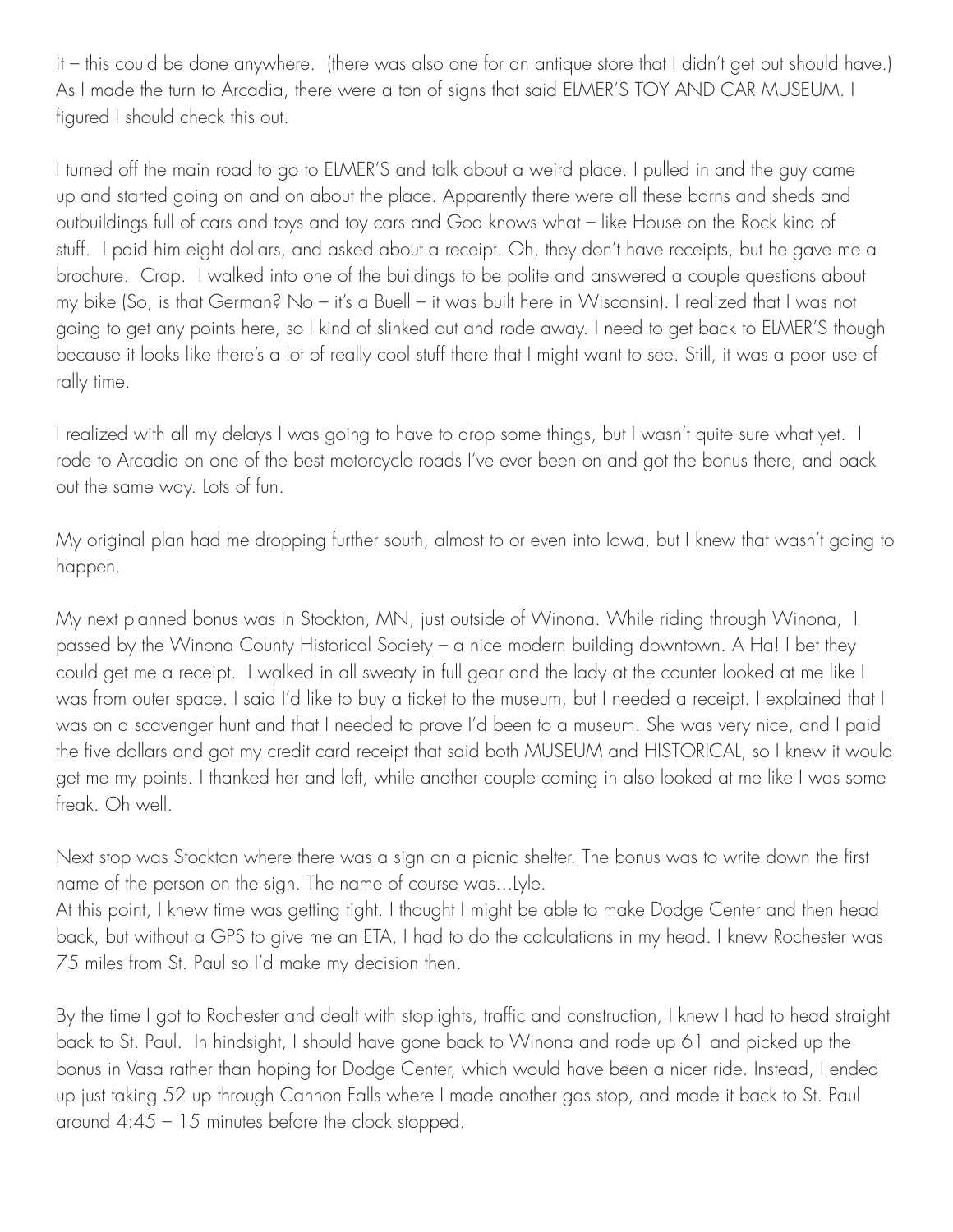it – this could be done anywhere. (there was also one for an antique store that I didn't get but should have.) As I made the turn to Arcadia, there were a ton of signs that said ELMER'S TOY AND CAR MUSEUM. I figured I should check this out.

I turned off the main road to go to ELMER'S and talk about a weird place. I pulled in and the guy came up and started going on and on about the place. Apparently there were all these barns and sheds and outbuildings full of cars and toys and toy cars and God knows what – like House on the Rock kind of stuff. I paid him eight dollars, and asked about a receipt. Oh, they don't have receipts, but he gave me a brochure. Crap. I walked into one of the buildings to be polite and answered a couple questions about my bike (So, is that German? No – it's a Buell – it was built here in Wisconsin). I realized that I was not going to get any points here, so I kind of slinked out and rode away. I need to get back to ELMER'S though because it looks like there's a lot of really cool stuff there that I might want to see. Still, it was a poor use of rally time.

I realized with all my delays I was going to have to drop some things, but I wasn't quite sure what yet. I rode to Arcadia on one of the best motorcycle roads I've ever been on and got the bonus there, and back out the same way. Lots of fun.

My original plan had me dropping further south, almost to or even into Iowa, but I knew that wasn't going to happen.

My next planned bonus was in Stockton, MN, just outside of Winona. While riding through Winona, I passed by the Winona County Historical Society – a nice modern building downtown. A Ha! I bet they could get me a receipt. I walked in all sweaty in full gear and the lady at the counter looked at me like I was from outer space. I said I'd like to buy a ticket to the museum, but I needed a receipt. I explained that I was on a scavenger hunt and that I needed to prove I'd been to a museum. She was very nice, and I paid the five dollars and got my credit card receipt that said both MUSEUM and HISTORICAL, so I knew it would get me my points. I thanked her and left, while another couple coming in also looked at me like I was some freak. Oh well.

Next stop was Stockton where there was a sign on a picnic shelter. The bonus was to write down the first name of the person on the sign. The name of course was...Lyle.

At this point, I knew time was getting tight. I thought I might be able to make Dodge Center and then head back, but without a GPS to give me an ETA, I had to do the calculations in my head. I knew Rochester was 75 miles from St. Paul so I'd make my decision then.

By the time I got to Rochester and dealt with stoplights, traffic and construction, I knew I had to head straight back to St. Paul. In hindsight, I should have gone back to Winona and rode up 61 and picked up the bonus in Vasa rather than hoping for Dodge Center, which would have been a nicer ride. Instead, I ended up just taking 52 up through Cannon Falls where I made another gas stop, and made it back to St. Paul around 4:45 – 15 minutes before the clock stopped.